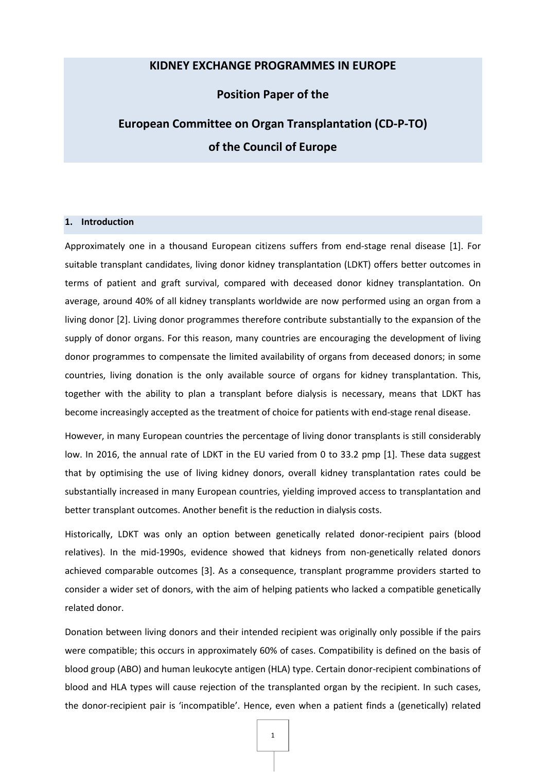## **KIDNEY EXCHANGE PROGRAMMES IN EUROPE**

## **Position Paper of the**

# **European Committee on Organ Transplantation (CD-P-TO) of the Council of Europe**

## **1. Introduction**

Approximately one in a thousand European citizens suffers from end-stage renal disease [\[1\].](#page-6-0) For suitable transplant candidates, living donor kidney transplantation (LDKT) offers better outcomes in terms of patient and graft survival, compared with deceased donor kidney transplantation. On average, around 40% of all kidney transplants worldwide are now performed using an organ from a living donor [2]. Living donor programmes therefore contribute substantially to the expansion of the supply of donor organs. For this reason, many countries are encouraging the development of living donor programmes to compensate the limited availability of organs from deceased donors; in some countries, living donation is the only available source of organs for kidney transplantation. This, together with the ability to plan a transplant before dialysis is necessary, means that LDKT has become increasingly accepted as the treatment of choice for patients with end-stage renal disease.

However, in many European countries the percentage of living donor transplants is still considerably low. In 2016, the annual rate of LDKT in the EU varied from 0 to 33.2 pmp [1]. These data suggest that by optimising the use of living kidney donors, overall kidney transplantation rates could be substantially increased in many European countries, yielding improved access to transplantation and better transplant outcomes. Another benefit is the reduction in dialysis costs.

Historically, LDKT was only an option between genetically related donor-recipient pairs (blood relatives). In the mid-1990s, evidence showed that kidneys from non-genetically related donors achieved comparable outcomes [\[3\].](#page-6-0) As a consequence, transplant programme providers started to consider a wider set of donors, with the aim of helping patients who lacked a compatible genetically related donor.

Donation between living donors and their intended recipient was originally only possible if the pairs were compatible; this occurs in approximately 60% of cases. Compatibility is defined on the basis of blood group (ABO) and human leukocyte antigen (HLA) type. Certain donor-recipient combinations of blood and HLA types will cause rejection of the transplanted organ by the recipient. In such cases, the donor-recipient pair is 'incompatible'. Hence, even when a patient finds a (genetically) related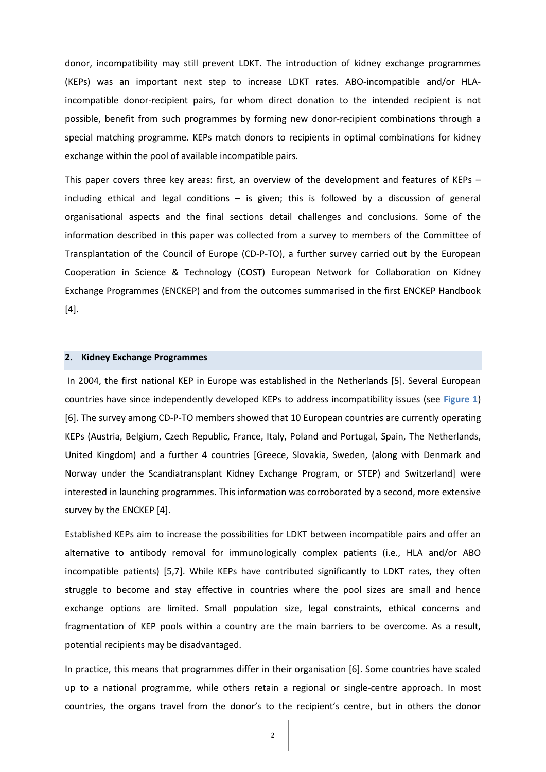donor, incompatibility may still prevent LDKT. The introduction of kidney exchange programmes (KEPs) was an important next step to increase LDKT rates. ABO-incompatible and/or HLAincompatible donor-recipient pairs, for whom direct donation to the intended recipient is not possible, benefit from such programmes by forming new donor-recipient combinations through a special matching programme. KEPs match donors to recipients in optimal combinations for kidney exchange within the pool of available incompatible pairs.

This paper covers three key areas: first, an overview of the development and features of KEPs – including ethical and legal conditions  $-$  is given; this is followed by a discussion of general organisational aspects and the final sections detail challenges and conclusions. Some of the information described in this paper was collected from a survey to members of the Committee of Transplantation of the Council of Europe (CD-P-TO), a further survey carried out by the European Cooperation in Science & Technology (COST) European Network for Collaboration on Kidney Exchange Programmes (ENCKEP) and from the outcomes summarised in the first ENCKEP Handbook [4].

## **2. Kidney Exchange Programmes**

In 2004, the first national KEP in Europe was established in the Netherlands [5]. Several European countries have since independently developed KEPs to address incompatibility issues (see **Figure 1**) [6]. The survey among CD-P-TO members showed that 10 European countries are currently operating KEPs (Austria, Belgium, Czech Republic, France, Italy, Poland and Portugal, Spain, The Netherlands, United Kingdom) and a further 4 countries [Greece, Slovakia, Sweden, (along with Denmark and Norway under the Scandiatransplant Kidney Exchange Program, or STEP) and Switzerland] were interested in launching programmes. This information was corroborated by a second, more extensive survey by the ENCKEP [4].

Established KEPs aim to increase the possibilities for LDKT between incompatible pairs and offer an alternative to antibody removal for immunologically complex patients (i.e., HLA and/or ABO incompatible patients) [5,7]. While KEPs have contributed significantly to LDKT rates, they often struggle to become and stay effective in countries where the pool sizes are small and hence exchange options are limited. Small population size, legal constraints, ethical concerns and fragmentation of KEP pools within a country are the main barriers to be overcome. As a result, potential recipients may be disadvantaged.

In practice, this means that programmes differ in their organisation [6]. Some countries have scaled up to a national programme, while others retain a regional or single-centre approach. In most countries, the organs travel from the donor's to the recipient's centre, but in others the donor

2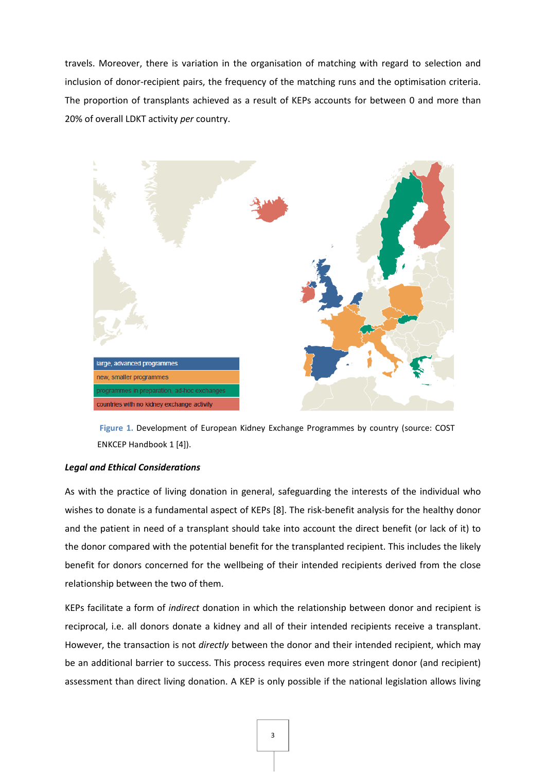travels. Moreover, there is variation in the organisation of matching with regard to selection and inclusion of donor-recipient pairs, the frequency of the matching runs and the optimisation criteria. The proportion of transplants achieved as a result of KEPs accounts for between 0 and more than 20% of overall LDKT activity *per* country.



**Figure 1.** Development of European Kidney Exchange Programmes by country (source: COST ENKCEP Handbook 1 [4]).

## *Legal and Ethical Considerations*

As with the practice of living donation in general, safeguarding the interests of the individual who wishes to donate is a fundamental aspect of KEPs [8]. The risk-benefit analysis for the healthy donor and the patient in need of a transplant should take into account the direct benefit (or lack of it) to the donor compared with the potential benefit for the transplanted recipient. This includes the likely benefit for donors concerned for the wellbeing of their intended recipients derived from the close relationship between the two of them.

KEPs facilitate a form of *indirect* donation in which the relationship between donor and recipient is reciprocal, i.e. all donors donate a kidney and all of their intended recipients receive a transplant. However, the transaction is not *directly* between the donor and their intended recipient, which may be an additional barrier to success. This process requires even more stringent donor (and recipient) assessment than direct living donation. A KEP is only possible if the national legislation allows living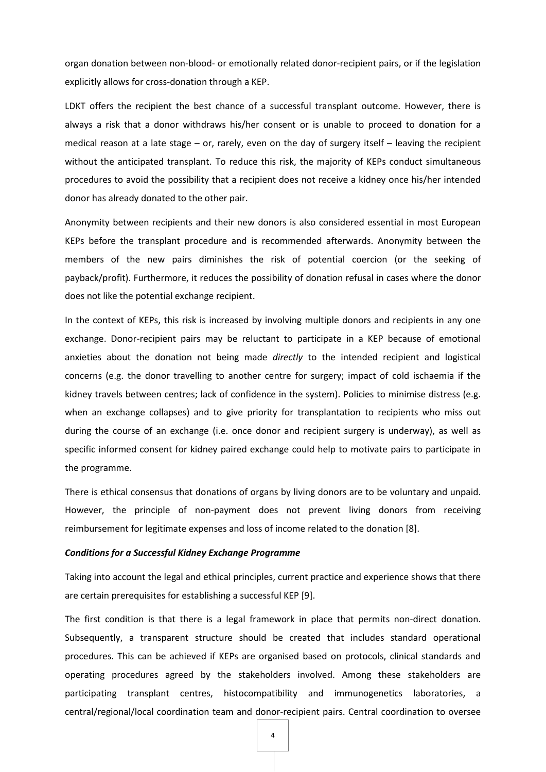organ donation between non-blood- or emotionally related donor-recipient pairs, or if the legislation explicitly allows for cross-donation through a KEP.

LDKT offers the recipient the best chance of a successful transplant outcome. However, there is always a risk that a donor withdraws his/her consent or is unable to proceed to donation for a medical reason at a late stage – or, rarely, even on the day of surgery itself – leaving the recipient without the anticipated transplant. To reduce this risk, the majority of KEPs conduct simultaneous procedures to avoid the possibility that a recipient does not receive a kidney once his/her intended donor has already donated to the other pair.

Anonymity between recipients and their new donors is also considered essential in most European KEPs before the transplant procedure and is recommended afterwards. Anonymity between the members of the new pairs diminishes the risk of potential coercion (or the seeking of payback/profit). Furthermore, it reduces the possibility of donation refusal in cases where the donor does not like the potential exchange recipient.

In the context of KEPs, this risk is increased by involving multiple donors and recipients in any one exchange. Donor-recipient pairs may be reluctant to participate in a KEP because of emotional anxieties about the donation not being made *directly* to the intended recipient and logistical concerns (e.g. the donor travelling to another centre for surgery; impact of cold ischaemia if the kidney travels between centres; lack of confidence in the system). Policies to minimise distress (e.g. when an exchange collapses) and to give priority for transplantation to recipients who miss out during the course of an exchange (i.e. once donor and recipient surgery is underway), as well as specific informed consent for kidney paired exchange could help to motivate pairs to participate in the programme.

There is ethical consensus that donations of organs by living donors are to be voluntary and unpaid. However, the principle of non-payment does not prevent living donors from receiving reimbursement for legitimate expenses and loss of income related to the donation [8].

#### *Conditions for a Successful Kidney Exchange Programme*

Taking into account the legal and ethical principles, current practice and experience shows that there are certain prerequisites for establishing a successful KEP [9].

The first condition is that there is a legal framework in place that permits non-direct donation. Subsequently, a transparent structure should be created that includes standard operational procedures. This can be achieved if KEPs are organised based on protocols, clinical standards and operating procedures agreed by the stakeholders involved. Among these stakeholders are participating transplant centres, histocompatibility and immunogenetics laboratories, a central/regional/local coordination team and donor-recipient pairs. Central coordination to oversee

4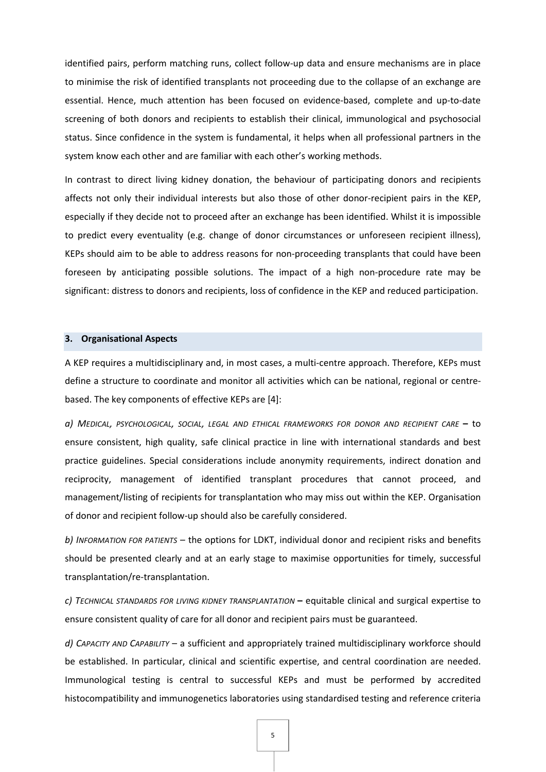identified pairs, perform matching runs, collect follow-up data and ensure mechanisms are in place to minimise the risk of identified transplants not proceeding due to the collapse of an exchange are essential. Hence, much attention has been focused on evidence-based, complete and up-to-date screening of both donors and recipients to establish their clinical, immunological and psychosocial status. Since confidence in the system is fundamental, it helps when all professional partners in the system know each other and are familiar with each other's working methods.

In contrast to direct living kidney donation, the behaviour of participating donors and recipients affects not only their individual interests but also those of other donor-recipient pairs in the KEP, especially if they decide not to proceed after an exchange has been identified. Whilst it is impossible to predict every eventuality (e.g. change of donor circumstances or unforeseen recipient illness), KEPs should aim to be able to address reasons for non-proceeding transplants that could have been foreseen by anticipating possible solutions. The impact of a high non-procedure rate may be significant: distress to donors and recipients, loss of confidence in the KEP and reduced participation.

## **3. Organisational Aspects**

A KEP requires a multidisciplinary and, in most cases, a multi-centre approach. Therefore, KEPs must define a structure to coordinate and monitor all activities which can be national, regional or centrebased. The key components of effective KEPs are [4]:

*a) MEDICAL, PSYCHOLOGICAL, SOCIAL, LEGAL AND ETHICAL FRAMEWORKS FOR DONOR AND RECIPIENT CARE* **–** to ensure consistent, high quality, safe clinical practice in line with international standards and best practice guidelines. Special considerations include anonymity requirements, indirect donation and reciprocity, management of identified transplant procedures that cannot proceed, and management/listing of recipients for transplantation who may miss out within the KEP. Organisation of donor and recipient follow-up should also be carefully considered.

*b) INFORMATION FOR PATIENTS* – the options for LDKT, individual donor and recipient risks and benefits should be presented clearly and at an early stage to maximise opportunities for timely, successful transplantation/re-transplantation.

*c) TECHNICAL STANDARDS FOR LIVING KIDNEY TRANSPLANTATION* **–** equitable clinical and surgical expertise to ensure consistent quality of care for all donor and recipient pairs must be guaranteed.

*d) CAPACITY AND CAPABILITY* – a sufficient and appropriately trained multidisciplinary workforce should be established. In particular, clinical and scientific expertise, and central coordination are needed. Immunological testing is central to successful KEPs and must be performed by accredited histocompatibility and immunogenetics laboratories using standardised testing and reference criteria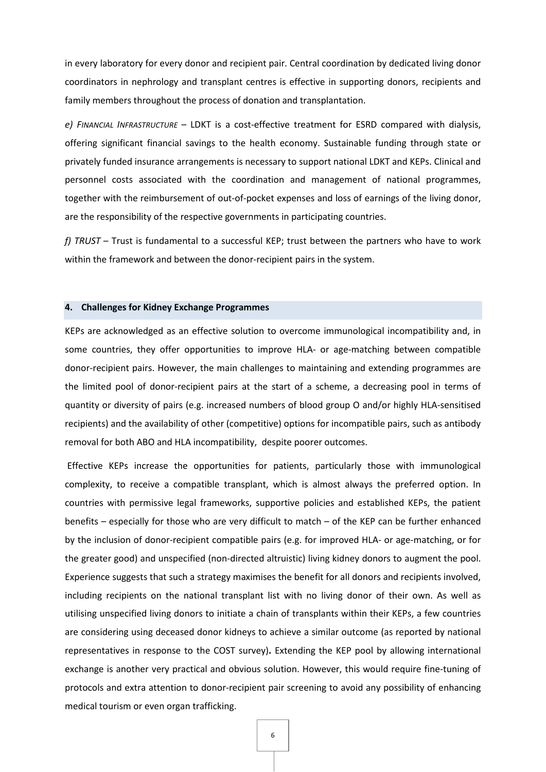in every laboratory for every donor and recipient pair. Central coordination by dedicated living donor coordinators in nephrology and transplant centres is effective in supporting donors, recipients and family members throughout the process of donation and transplantation.

*e) FINANCIAL INFRASTRUCTURE* – LDKT is a cost-effective treatment for ESRD compared with dialysis, offering significant financial savings to the health economy. Sustainable funding through state or privately funded insurance arrangements is necessary to support national LDKT and KEPs. Clinical and personnel costs associated with the coordination and management of national programmes, together with the reimbursement of out-of-pocket expenses and loss of earnings of the living donor, are the responsibility of the respective governments in participating countries.

*f) TRUST* – Trust is fundamental to a successful KEP; trust between the partners who have to work within the framework and between the donor-recipient pairs in the system.

## **4. Challenges for Kidney Exchange Programmes**

KEPs are acknowledged as an effective solution to overcome immunological incompatibility and, in some countries, they offer opportunities to improve HLA- or age-matching between compatible donor-recipient pairs. However, the main challenges to maintaining and extending programmes are the limited pool of donor-recipient pairs at the start of a scheme, a decreasing pool in terms of quantity or diversity of pairs (e.g. increased numbers of blood group O and/or highly HLA-sensitised recipients) and the availability of other (competitive) options for incompatible pairs, such as antibody removal for both ABO and HLA incompatibility, despite poorer outcomes.

Effective KEPs increase the opportunities for patients, particularly those with immunological complexity, to receive a compatible transplant, which is almost always the preferred option. In countries with permissive legal frameworks, supportive policies and established KEPs, the patient benefits – especially for those who are very difficult to match – of the KEP can be further enhanced by the inclusion of donor-recipient compatible pairs (e.g. for improved HLA- or age-matching, or for the greater good) and unspecified (non-directed altruistic) living kidney donors to augment the pool. Experience suggests that such a strategy maximises the benefit for all donors and recipients involved, including recipients on the national transplant list with no living donor of their own. As well as utilising unspecified living donors to initiate a chain of transplants within their KEPs, a few countries are considering using deceased donor kidneys to achieve a similar outcome (as reported by national representatives in response to the COST survey)**.** Extending the KEP pool by allowing international exchange is another very practical and obvious solution. However, this would require fine-tuning of protocols and extra attention to donor-recipient pair screening to avoid any possibility of enhancing medical tourism or even organ trafficking.